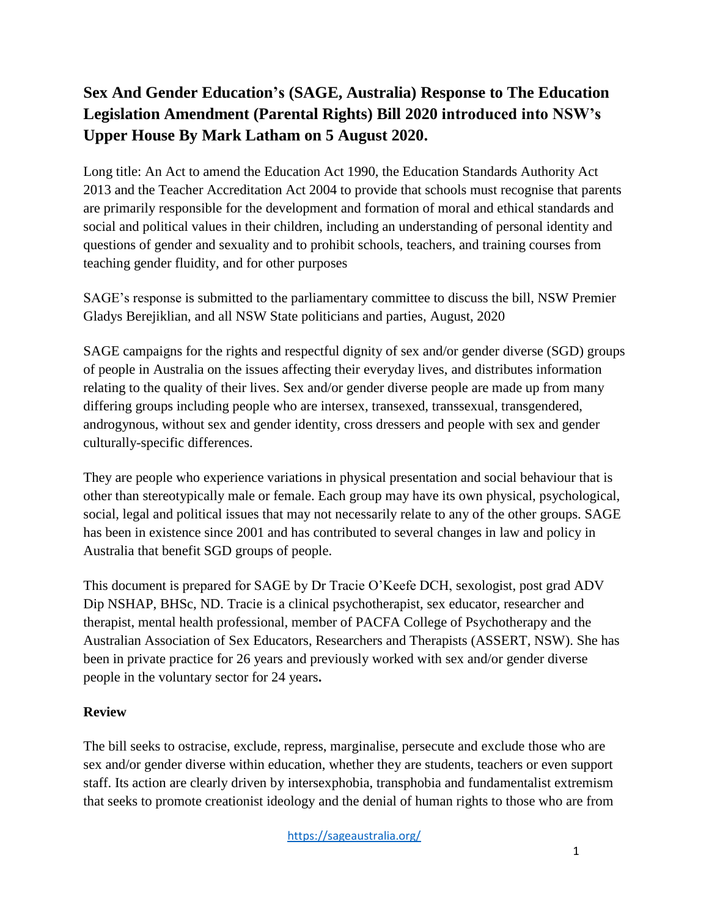## **Sex And Gender Education's (SAGE, Australia) Response to The Education Legislation Amendment (Parental Rights) Bill 2020 introduced into NSW's Upper House By Mark Latham on 5 August 2020.**

Long title: An Act to amend the Education Act 1990, the Education Standards Authority Act 2013 and the Teacher Accreditation Act 2004 to provide that schools must recognise that parents are primarily responsible for the development and formation of moral and ethical standards and social and political values in their children, including an understanding of personal identity and questions of gender and sexuality and to prohibit schools, teachers, and training courses from teaching gender fluidity, and for other purposes

SAGE's response is submitted to the parliamentary committee to discuss the bill, NSW Premier Gladys Berejiklian, and all NSW State politicians and parties, August, 2020

SAGE campaigns for the rights and respectful dignity of sex and/or gender diverse (SGD) groups of people in Australia on the issues affecting their everyday lives, and distributes information relating to the quality of their lives. Sex and/or gender diverse people are made up from many differing groups including people who are intersex, transexed, transsexual, transgendered, androgynous, without sex and gender identity, cross dressers and people with sex and gender culturally-specific differences.

They are people who experience variations in physical presentation and social behaviour that is other than stereotypically male or female. Each group may have its own physical, psychological, social, legal and political issues that may not necessarily relate to any of the other groups. SAGE has been in existence since 2001 and has contributed to several changes in law and policy in Australia that benefit SGD groups of people.

This document is prepared for SAGE by Dr Tracie O'Keefe DCH, sexologist, post grad ADV Dip NSHAP, BHSc, ND. Tracie is a clinical psychotherapist, sex educator, researcher and therapist, mental health professional, member of PACFA College of Psychotherapy and the Australian Association of Sex Educators, Researchers and Therapists (ASSERT, NSW). She has been in private practice for 26 years and previously worked with sex and/or gender diverse people in the voluntary sector for 24 years**.**

## **Review**

The bill seeks to ostracise, exclude, repress, marginalise, persecute and exclude those who are sex and/or gender diverse within education, whether they are students, teachers or even support staff. Its action are clearly driven by intersexphobia, transphobia and fundamentalist extremism that seeks to promote creationist ideology and the denial of human rights to those who are from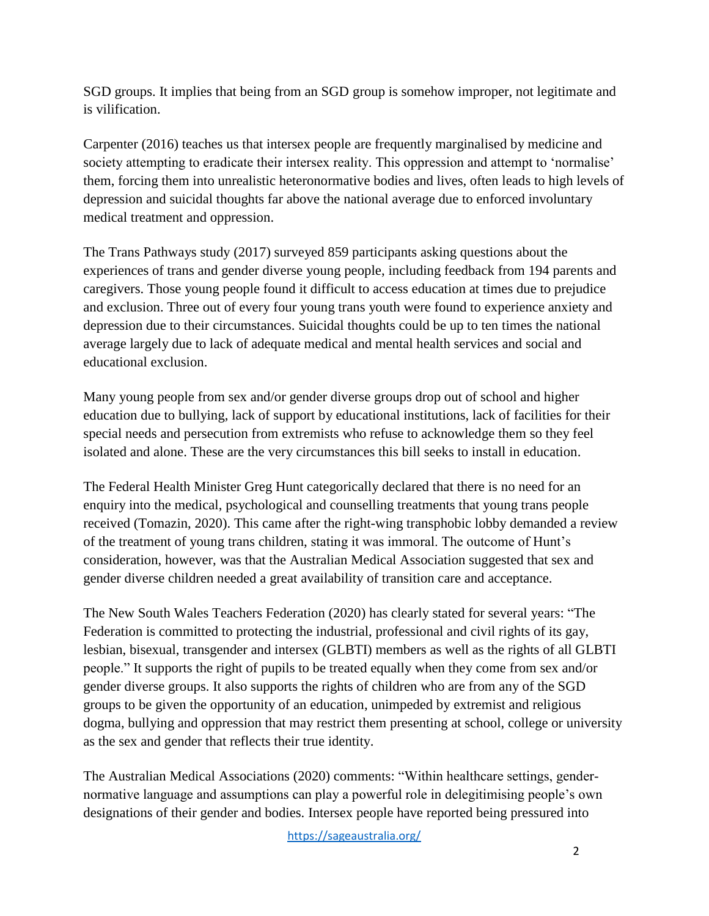SGD groups. It implies that being from an SGD group is somehow improper, not legitimate and is vilification.

Carpenter (2016) teaches us that intersex people are frequently marginalised by medicine and society attempting to eradicate their intersex reality. This oppression and attempt to 'normalise' them, forcing them into unrealistic heteronormative bodies and lives, often leads to high levels of depression and suicidal thoughts far above the national average due to enforced involuntary medical treatment and oppression.

The Trans Pathways study (2017) surveyed 859 participants asking questions about the experiences of trans and gender diverse young people, including feedback from 194 parents and caregivers. Those young people found it difficult to access education at times due to prejudice and exclusion. Three out of every four young trans youth were found to experience anxiety and depression due to their circumstances. Suicidal thoughts could be up to ten times the national average largely due to lack of adequate medical and mental health services and social and educational exclusion.

Many young people from sex and/or gender diverse groups drop out of school and higher education due to bullying, lack of support by educational institutions, lack of facilities for their special needs and persecution from extremists who refuse to acknowledge them so they feel isolated and alone. These are the very circumstances this bill seeks to install in education.

The Federal Health Minister Greg Hunt categorically declared that there is no need for an enquiry into the medical, psychological and counselling treatments that young trans people received (Tomazin, 2020). This came after the right-wing transphobic lobby demanded a review of the treatment of young trans children, stating it was immoral. The outcome of Hunt's consideration, however, was that the Australian Medical Association suggested that sex and gender diverse children needed a great availability of transition care and acceptance.

The New South Wales Teachers Federation (2020) has clearly stated for several years: "The Federation is committed to protecting the industrial, professional and civil rights of its gay, lesbian, bisexual, transgender and intersex (GLBTI) members as well as the rights of all GLBTI people." It supports the right of pupils to be treated equally when they come from sex and/or gender diverse groups. It also supports the rights of children who are from any of the SGD groups to be given the opportunity of an education, unimpeded by extremist and religious dogma, bullying and oppression that may restrict them presenting at school, college or university as the sex and gender that reflects their true identity.

The Australian Medical Associations (2020) comments: "Within healthcare settings, gendernormative language and assumptions can play a powerful role in delegitimising people's own designations of their gender and bodies. Intersex people have reported being pressured into

<https://sageaustralia.org/>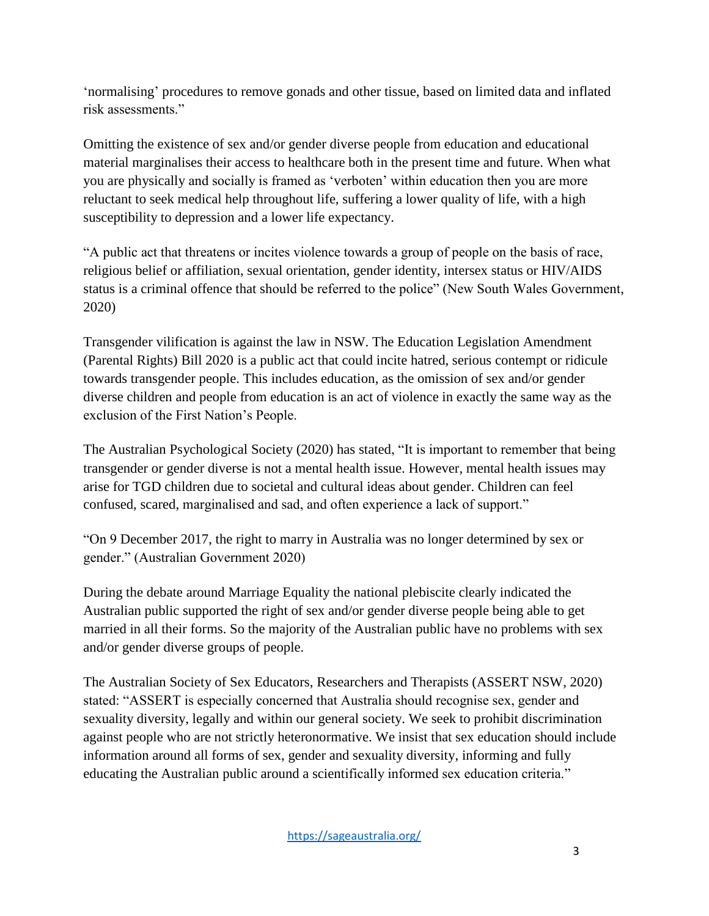'normalising' procedures to remove gonads and other tissue, based on limited data and inflated risk assessments."

Omitting the existence of sex and/or gender diverse people from education and educational material marginalises their access to healthcare both in the present time and future. When what you are physically and socially is framed as 'verboten' within education then you are more reluctant to seek medical help throughout life, suffering a lower quality of life, with a high susceptibility to depression and a lower life expectancy.

"A public act that threatens or incites violence towards a group of people on the basis of race, religious belief or affiliation, sexual orientation, gender identity, intersex status or HIV/AIDS status is a criminal offence that should be referred to the police" (New South Wales Government, 2020)

Transgender vilification is against the law in NSW. The Education Legislation Amendment (Parental Rights) Bill 2020 is a public act that could incite hatred, serious contempt or ridicule towards transgender people. This includes education, as the omission of sex and/or gender diverse children and people from education is an act of violence in exactly the same way as the exclusion of the First Nation's People.

The Australian Psychological Society (2020) has stated, "It is important to remember that being transgender or gender diverse is not a mental health issue. However, mental health issues may arise for TGD children due to societal and cultural ideas about gender. Children can feel confused, scared, marginalised and sad, and often experience a lack of support."

"On 9 December 2017, the right to marry in Australia was no longer determined by sex or gender." (Australian Government 2020)

During the debate around Marriage Equality the national plebiscite clearly indicated the Australian public supported the right of sex and/or gender diverse people being able to get married in all their forms. So the majority of the Australian public have no problems with sex and/or gender diverse groups of people.

The Australian Society of Sex Educators, Researchers and Therapists (ASSERT NSW, 2020) stated: "ASSERT is especially concerned that Australia should recognise sex, gender and sexuality diversity, legally and within our general society. We seek to prohibit discrimination against people who are not strictly heteronormative. We insist that sex education should include information around all forms of sex, gender and sexuality diversity, informing and fully educating the Australian public around a scientifically informed sex education criteria."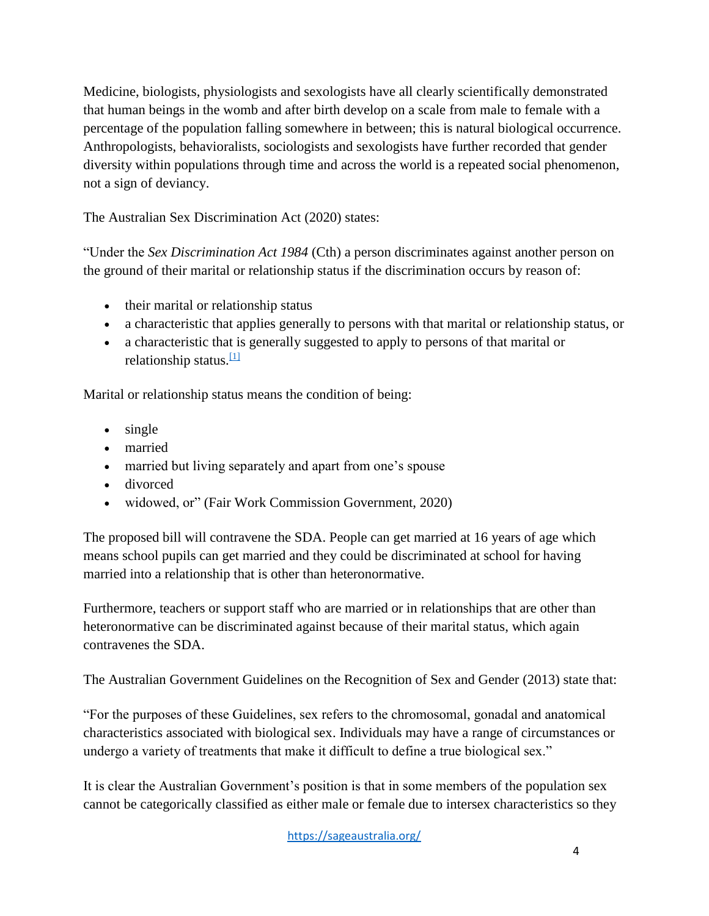Medicine, biologists, physiologists and sexologists have all clearly scientifically demonstrated that human beings in the womb and after birth develop on a scale from male to female with a percentage of the population falling somewhere in between; this is natural biological occurrence. Anthropologists, behavioralists, sociologists and sexologists have further recorded that gender diversity within populations through time and across the world is a repeated social phenomenon, not a sign of deviancy.

The Australian Sex Discrimination Act (2020) states:

"Under the *Sex Discrimination Act 1984* (Cth) a person discriminates against another person on the ground of their marital or relationship status if the discrimination occurs by reason of:

- their marital or relationship status
- a characteristic that applies generally to persons with that marital or relationship status, or
- a characteristic that is generally suggested to apply to persons of that marital or relationship status. $\frac{11}{11}$

Marital or relationship status means the condition of being:

- single
- married
- married but living separately and apart from one's spouse
- divorced
- widowed, or" (Fair Work Commission Government, 2020)

The proposed bill will contravene the SDA. People can get married at 16 years of age which means school pupils can get married and they could be discriminated at school for having married into a relationship that is other than heteronormative.

Furthermore, teachers or support staff who are married or in relationships that are other than heteronormative can be discriminated against because of their marital status, which again contravenes the SDA.

The Australian Government Guidelines on the Recognition of Sex and Gender (2013) state that:

"For the purposes of these Guidelines, sex refers to the chromosomal, gonadal and anatomical characteristics associated with biological sex. Individuals may have a range of circumstances or undergo a variety of treatments that make it difficult to define a true biological sex."

It is clear the Australian Government's position is that in some members of the population sex cannot be categorically classified as either male or female due to intersex characteristics so they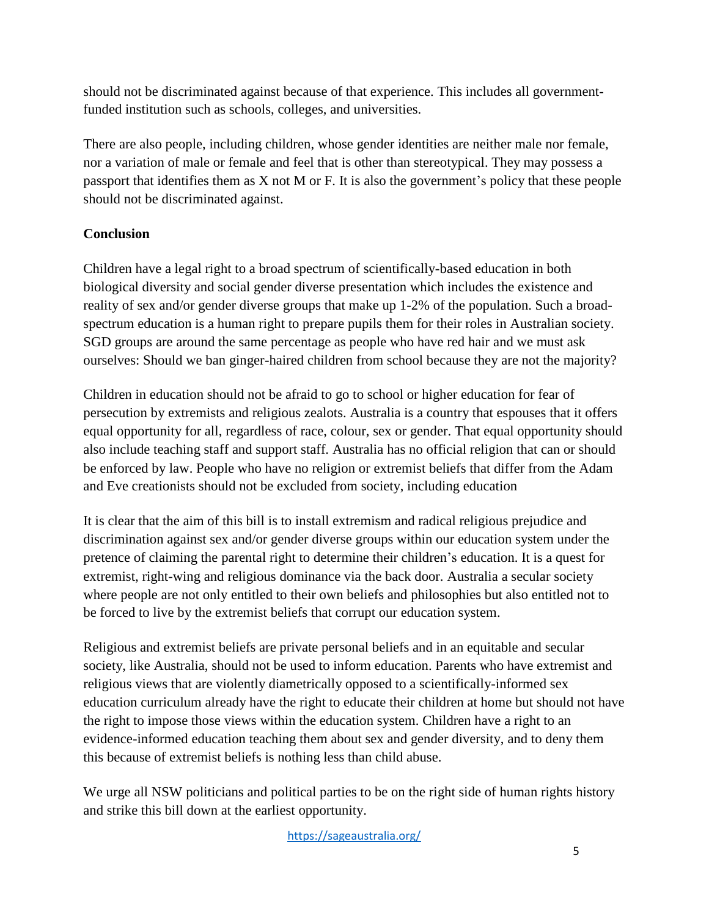should not be discriminated against because of that experience. This includes all governmentfunded institution such as schools, colleges, and universities.

There are also people, including children, whose gender identities are neither male nor female, nor a variation of male or female and feel that is other than stereotypical. They may possess a passport that identifies them as X not M or F. It is also the government's policy that these people should not be discriminated against.

## **Conclusion**

Children have a legal right to a broad spectrum of scientifically-based education in both biological diversity and social gender diverse presentation which includes the existence and reality of sex and/or gender diverse groups that make up 1-2% of the population. Such a broadspectrum education is a human right to prepare pupils them for their roles in Australian society. SGD groups are around the same percentage as people who have red hair and we must ask ourselves: Should we ban ginger-haired children from school because they are not the majority?

Children in education should not be afraid to go to school or higher education for fear of persecution by extremists and religious zealots. Australia is a country that espouses that it offers equal opportunity for all, regardless of race, colour, sex or gender. That equal opportunity should also include teaching staff and support staff. Australia has no official religion that can or should be enforced by law. People who have no religion or extremist beliefs that differ from the Adam and Eve creationists should not be excluded from society, including education

It is clear that the aim of this bill is to install extremism and radical religious prejudice and discrimination against sex and/or gender diverse groups within our education system under the pretence of claiming the parental right to determine their children's education. It is a quest for extremist, right-wing and religious dominance via the back door. Australia a secular society where people are not only entitled to their own beliefs and philosophies but also entitled not to be forced to live by the extremist beliefs that corrupt our education system.

Religious and extremist beliefs are private personal beliefs and in an equitable and secular society, like Australia, should not be used to inform education. Parents who have extremist and religious views that are violently diametrically opposed to a scientifically-informed sex education curriculum already have the right to educate their children at home but should not have the right to impose those views within the education system. Children have a right to an evidence-informed education teaching them about sex and gender diversity, and to deny them this because of extremist beliefs is nothing less than child abuse.

We urge all NSW politicians and political parties to be on the right side of human rights history and strike this bill down at the earliest opportunity.